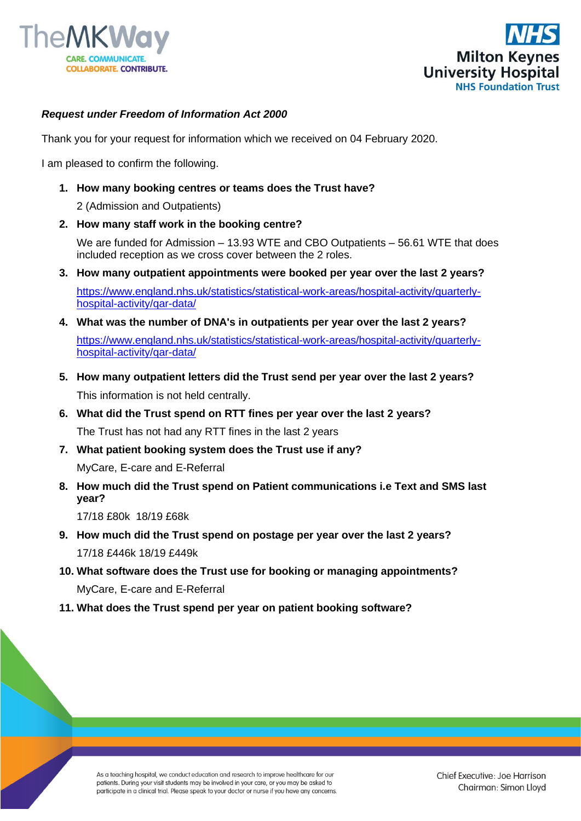



## *Request under Freedom of Information Act 2000*

Thank you for your request for information which we received on 04 February 2020.

I am pleased to confirm the following.

**1. How many booking centres or teams does the Trust have?**

2 (Admission and Outpatients)

**2. How many staff work in the booking centre?**

We are funded for Admission – 13.93 WTE and CBO Outpatients – 56.61 WTE that does included reception as we cross cover between the 2 roles.

- **3. How many outpatient appointments were booked per year over the last 2 years?**  [https://www.england.nhs.uk/statistics/statistical-work-areas/hospital-activity/quarterly](https://www.england.nhs.uk/statistics/statistical-work-areas/hospital-activity/quarterly-hospital-activity/qar-data/)[hospital-activity/qar-data/](https://www.england.nhs.uk/statistics/statistical-work-areas/hospital-activity/quarterly-hospital-activity/qar-data/)
- **4. What was the number of DNA's in outpatients per year over the last 2 years?** [https://www.england.nhs.uk/statistics/statistical-work-areas/hospital-activity/quarterly](https://www.england.nhs.uk/statistics/statistical-work-areas/hospital-activity/quarterly-hospital-activity/qar-data/)[hospital-activity/qar-data/](https://www.england.nhs.uk/statistics/statistical-work-areas/hospital-activity/quarterly-hospital-activity/qar-data/)
- **5. How many outpatient letters did the Trust send per year over the last 2 years?** This information is not held centrally.
- **6. What did the Trust spend on RTT fines per year over the last 2 years?** The Trust has not had any RTT fines in the last 2 years
- **7. What patient booking system does the Trust use if any?**

MyCare, E-care and E-Referral

**8. How much did the Trust spend on Patient communications i.e Text and SMS last year?** 

17/18 £80k 18/19 £68k

- **9. How much did the Trust spend on postage per year over the last 2 years?** 17/18 £446k 18/19 £449k
- **10. What software does the Trust use for booking or managing appointments?** MyCare, E-care and E-Referral
- **11. What does the Trust spend per year on patient booking software?**

As a teaching hospital, we conduct education and research to improve healthcare for our patients. During your visit students may be involved in your care, or you may be asked to participate in a clinical trial. Please speak to your doctor or nurse if you have any concerns.